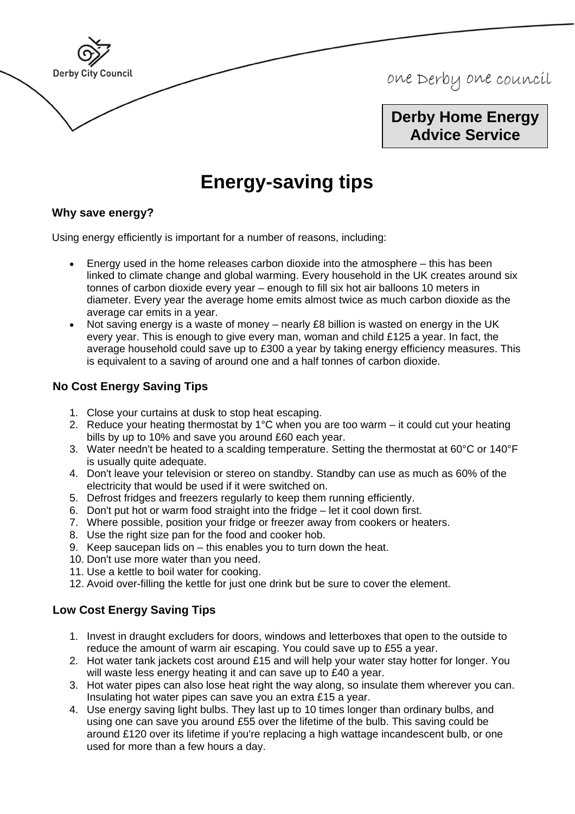

one Derby one council

**Derby Home Energy Advice Service** 

# 0B**Energy-saving tips**

## **Why save energy?**

Using energy efficiently is important for a number of reasons, including:

- Energy used in the home releases carbon dioxide into the atmosphere this has been linked to climate change and global warming. Every household in the UK creates around six tonnes of carbon dioxide every year – enough to fill six hot air balloons 10 meters in diameter. Every year the average home emits almost twice as much carbon dioxide as the average car emits in a year.
- Not saving energy is a waste of money nearly £8 billion is wasted on energy in the UK every year. This is enough to give every man, woman and child £125 a year. In fact, the average household could save up to £300 a year by taking energy efficiency measures. This is equivalent to a saving of around one and a half tonnes of carbon dioxide.

# **No Cost Energy Saving Tips**

- 1. Close your curtains at dusk to stop heat escaping.
- 2. Reduce your heating thermostat by 1°C when you are too warm it could cut your heating bills by up to 10% and save you around £60 each year.
- 3. Water needn't be heated to a scalding temperature. Setting the thermostat at 60°C or 140°F is usually quite adequate.
- 4. Don't leave your television or stereo on standby. Standby can use as much as 60% of the electricity that would be used if it were switched on.
- 5. Defrost fridges and freezers regularly to keep them running efficiently.
- 6. Don't put hot or warm food straight into the fridge let it cool down first.
- 7. Where possible, position your fridge or freezer away from cookers or heaters.
- 8. Use the right size pan for the food and cooker hob.
- 9. Keep saucepan lids on this enables you to turn down the heat.
- 10. Don't use more water than you need.
- 11. Use a kettle to boil water for cooking.
- 12. Avoid over-filling the kettle for just one drink but be sure to cover the element.

## **Low Cost Energy Saving Tips**

- 1. Invest in draught excluders for doors, windows and letterboxes that open to the outside to reduce the amount of warm air escaping. You could save up to £55 a year.
- 2. Hot water tank jackets cost around £15 and will help your water stay hotter for longer. You will waste less energy heating it and can save up to £40 a year.
- 3. Hot water pipes can also lose heat right the way along, so insulate them wherever you can. Insulating hot water pipes can save you an extra £15 a year.
- 4. Use energy saving light bulbs. They last up to 10 times longer than ordinary bulbs, and using one can save you around £55 over the lifetime of the bulb. This saving could be around £120 over its lifetime if you're replacing a high wattage incandescent bulb, or one used for more than a few hours a day.